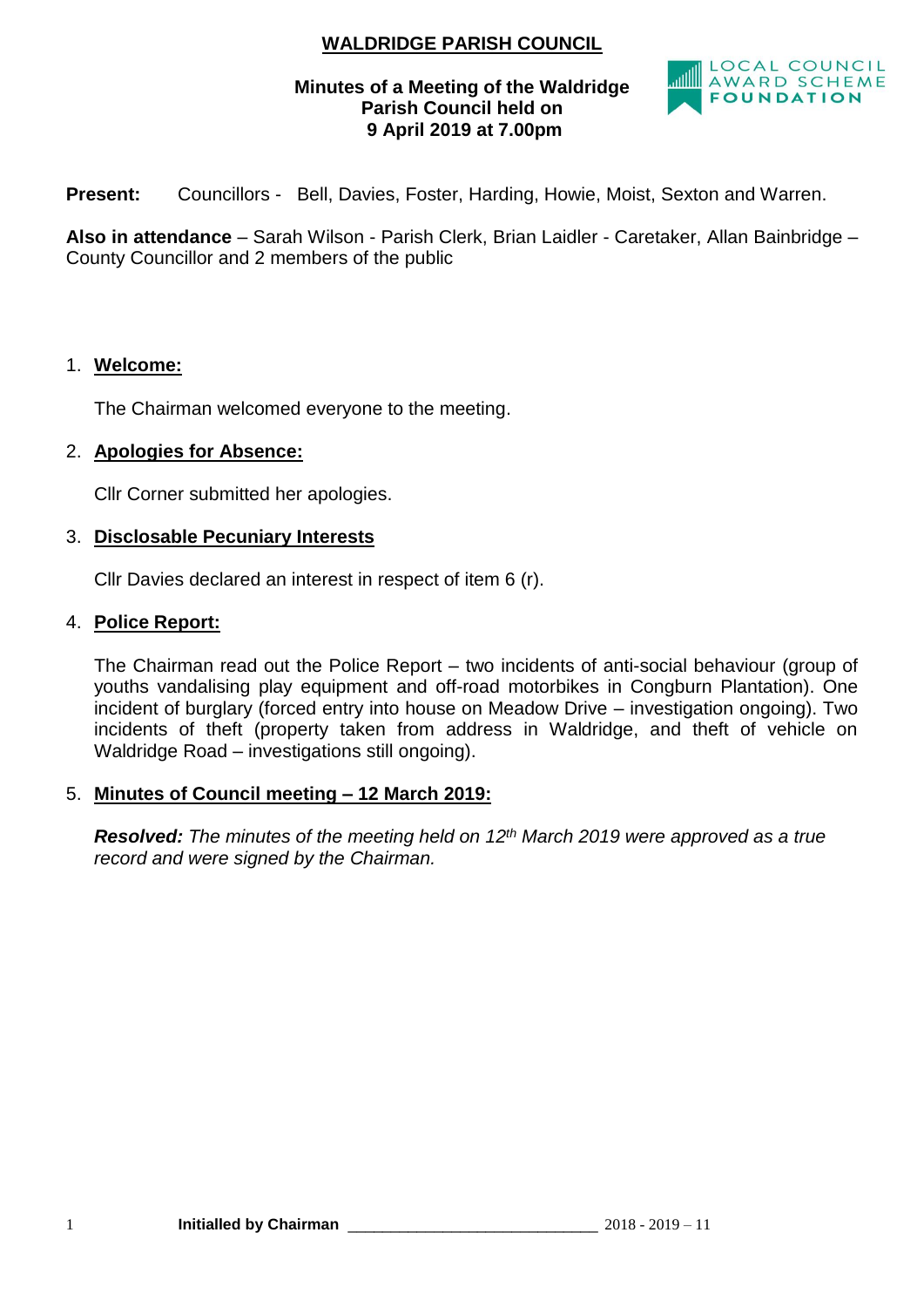# **WALDRIDGE PARISH COUNCIL**

# **Minutes of a Meeting of the Waldridge Parish Council held on 9 April 2019 at 7.00pm**



**Present:** Councillors - Bell, Davies, Foster, Harding, Howie, Moist, Sexton and Warren.

**Also in attendance** – Sarah Wilson - Parish Clerk, Brian Laidler - Caretaker, Allan Bainbridge – County Councillor and 2 members of the public

## 1. **Welcome:**

The Chairman welcomed everyone to the meeting.

# 2. **Apologies for Absence:**

Cllr Corner submitted her apologies.

## 3. **Disclosable Pecuniary Interests**

Cllr Davies declared an interest in respect of item 6 (r).

# 4. **Police Report:**

The Chairman read out the Police Report – two incidents of anti-social behaviour (group of youths vandalising play equipment and off-road motorbikes in Congburn Plantation). One incident of burglary (forced entry into house on Meadow Drive – investigation ongoing). Two incidents of theft (property taken from address in Waldridge, and theft of vehicle on Waldridge Road – investigations still ongoing).

## 5. **Minutes of Council meeting – 12 March 2019:**

*Resolved: The minutes of the meeting held on 12th March 2019 were approved as a true record and were signed by the Chairman.*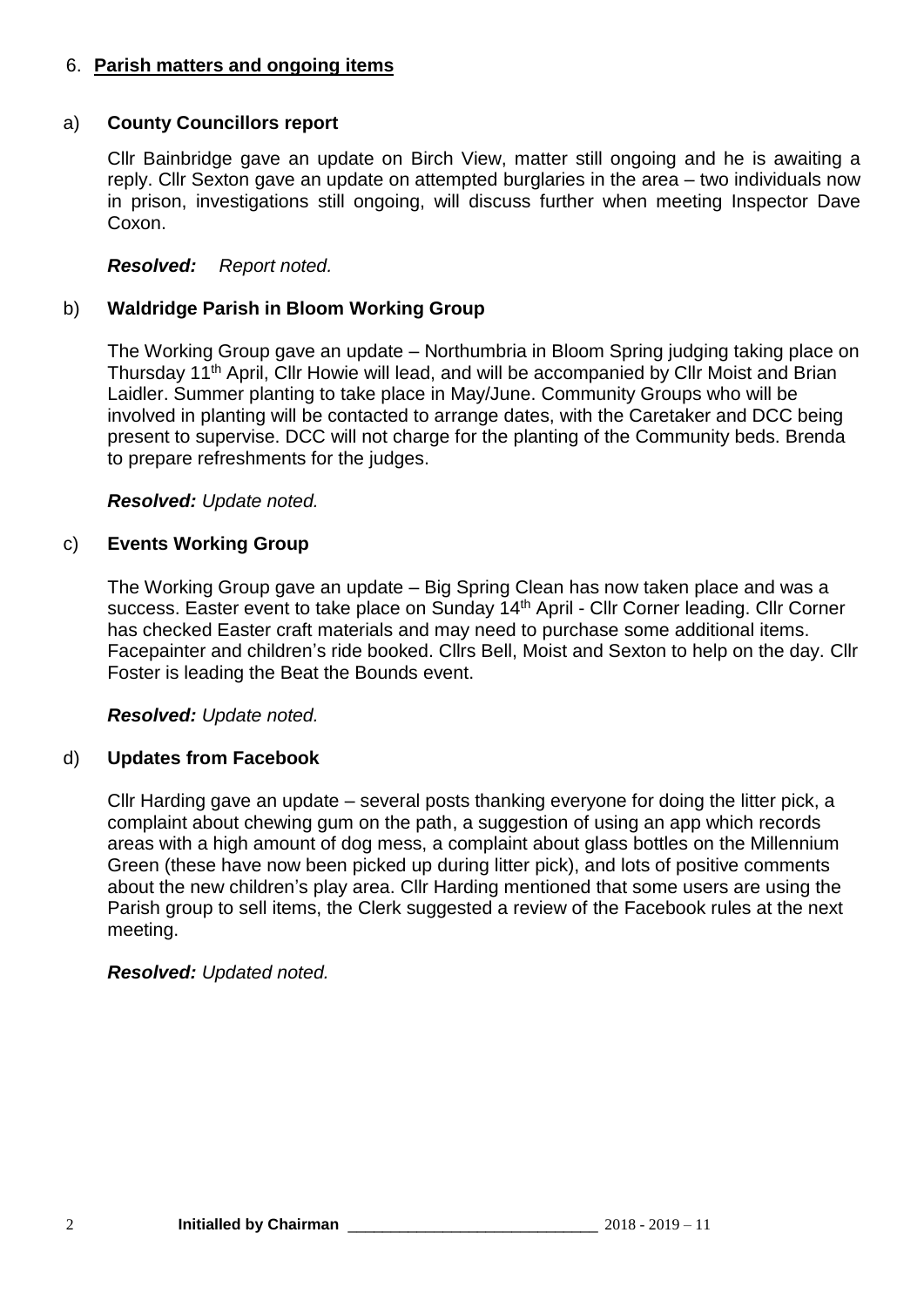# 6. **Parish matters and ongoing items**

# a) **County Councillors report**

Cllr Bainbridge gave an update on Birch View, matter still ongoing and he is awaiting a reply. Cllr Sexton gave an update on attempted burglaries in the area – two individuals now in prison, investigations still ongoing, will discuss further when meeting Inspector Dave Coxon.

# *Resolved: Report noted.*

# b) **Waldridge Parish in Bloom Working Group**

The Working Group gave an update – Northumbria in Bloom Spring judging taking place on Thursday 11<sup>th</sup> April, Cllr Howie will lead, and will be accompanied by Cllr Moist and Brian Laidler. Summer planting to take place in May/June. Community Groups who will be involved in planting will be contacted to arrange dates, with the Caretaker and DCC being present to supervise. DCC will not charge for the planting of the Community beds. Brenda to prepare refreshments for the judges.

## *Resolved: Update noted.*

# c) **Events Working Group**

The Working Group gave an update – Big Spring Clean has now taken place and was a success. Easter event to take place on Sunday 14<sup>th</sup> April - Cllr Corner leading. Cllr Corner has checked Easter craft materials and may need to purchase some additional items. Facepainter and children's ride booked. Cllrs Bell, Moist and Sexton to help on the day. Cllr Foster is leading the Beat the Bounds event.

## *Resolved: Update noted.*

## d) **Updates from Facebook**

Cllr Harding gave an update – several posts thanking everyone for doing the litter pick, a complaint about chewing gum on the path, a suggestion of using an app which records areas with a high amount of dog mess, a complaint about glass bottles on the Millennium Green (these have now been picked up during litter pick), and lots of positive comments about the new children's play area. Cllr Harding mentioned that some users are using the Parish group to sell items, the Clerk suggested a review of the Facebook rules at the next meeting.

## *Resolved: Updated noted.*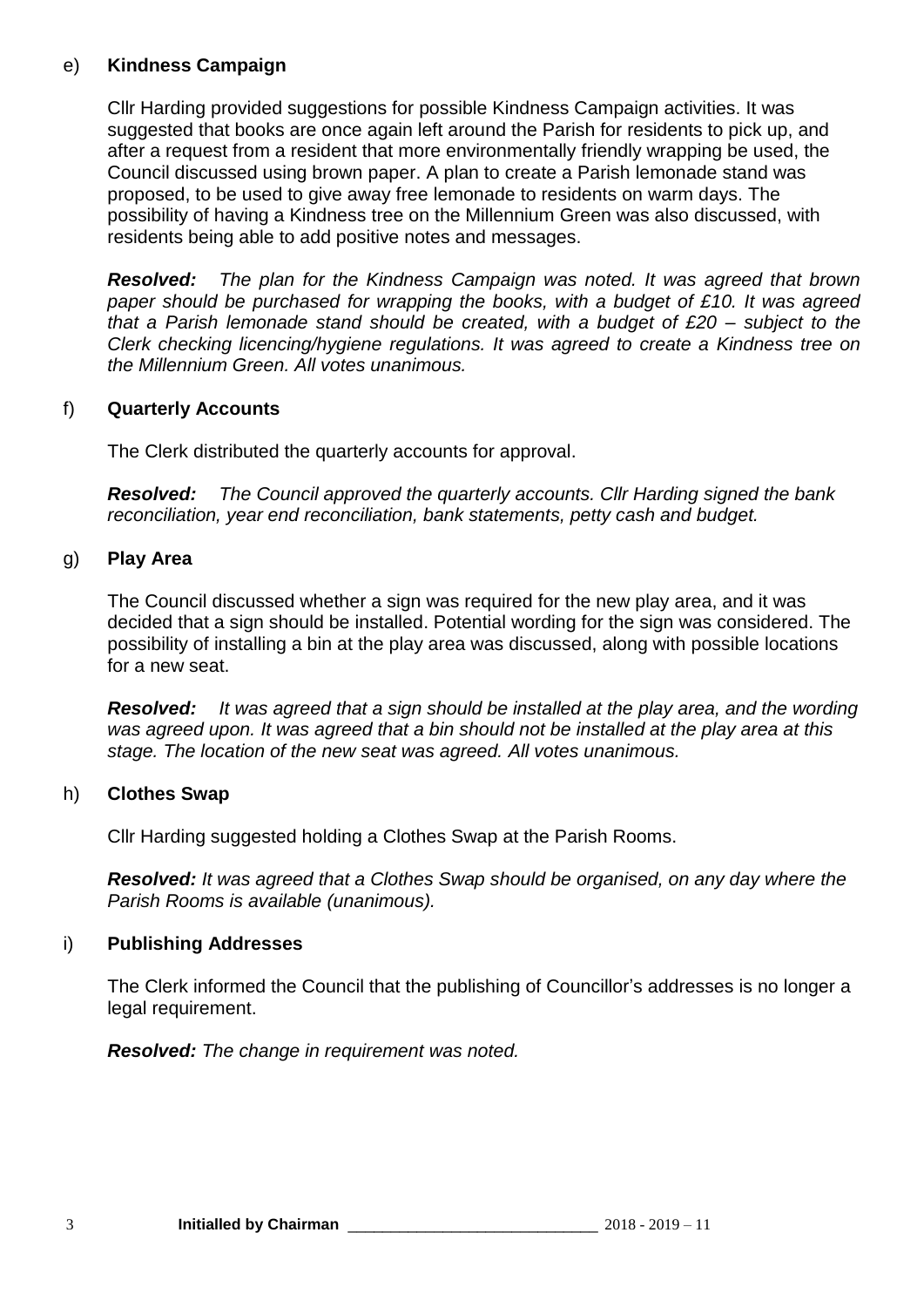# e) **Kindness Campaign**

Cllr Harding provided suggestions for possible Kindness Campaign activities. It was suggested that books are once again left around the Parish for residents to pick up, and after a request from a resident that more environmentally friendly wrapping be used, the Council discussed using brown paper. A plan to create a Parish lemonade stand was proposed, to be used to give away free lemonade to residents on warm days. The possibility of having a Kindness tree on the Millennium Green was also discussed, with residents being able to add positive notes and messages.

*Resolved: The plan for the Kindness Campaign was noted. It was agreed that brown paper should be purchased for wrapping the books, with a budget of £10. It was agreed that a Parish lemonade stand should be created, with a budget of £20 – subject to the Clerk checking licencing/hygiene regulations. It was agreed to create a Kindness tree on the Millennium Green. All votes unanimous.*

# f) **Quarterly Accounts**

The Clerk distributed the quarterly accounts for approval.

*Resolved: The Council approved the quarterly accounts. Cllr Harding signed the bank reconciliation, year end reconciliation, bank statements, petty cash and budget.*

# g) **Play Area**

The Council discussed whether a sign was required for the new play area, and it was decided that a sign should be installed. Potential wording for the sign was considered. The possibility of installing a bin at the play area was discussed, along with possible locations for a new seat.

*Resolved: It was agreed that a sign should be installed at the play area, and the wording was agreed upon. It was agreed that a bin should not be installed at the play area at this stage. The location of the new seat was agreed. All votes unanimous.*

## h) **Clothes Swap**

Cllr Harding suggested holding a Clothes Swap at the Parish Rooms.

*Resolved: It was agreed that a Clothes Swap should be organised, on any day where the Parish Rooms is available (unanimous).*

# i) **Publishing Addresses**

The Clerk informed the Council that the publishing of Councillor's addresses is no longer a legal requirement.

*Resolved: The change in requirement was noted.*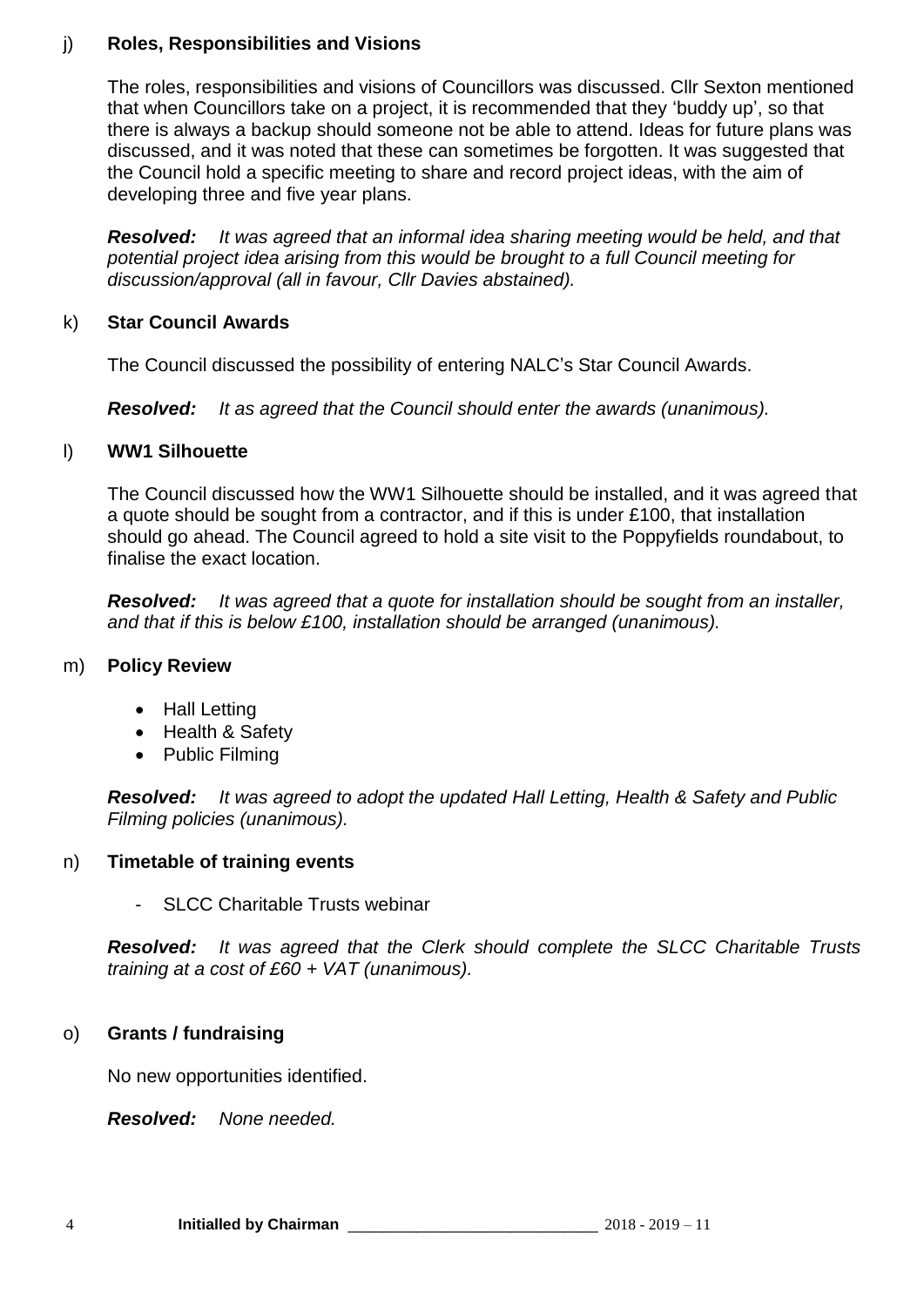# j) **Roles, Responsibilities and Visions**

The roles, responsibilities and visions of Councillors was discussed. Cllr Sexton mentioned that when Councillors take on a project, it is recommended that they 'buddy up', so that there is always a backup should someone not be able to attend. Ideas for future plans was discussed, and it was noted that these can sometimes be forgotten. It was suggested that the Council hold a specific meeting to share and record project ideas, with the aim of developing three and five year plans.

*Resolved: It was agreed that an informal idea sharing meeting would be held, and that potential project idea arising from this would be brought to a full Council meeting for discussion/approval (all in favour, Cllr Davies abstained).*

# k) **Star Council Awards**

The Council discussed the possibility of entering NALC's Star Council Awards.

*Resolved: It as agreed that the Council should enter the awards (unanimous).*

## l) **WW1 Silhouette**

The Council discussed how the WW1 Silhouette should be installed, and it was agreed that a quote should be sought from a contractor, and if this is under £100, that installation should go ahead. The Council agreed to hold a site visit to the Poppyfields roundabout, to finalise the exact location.

*Resolved: It was agreed that a quote for installation should be sought from an installer, and that if this is below £100, installation should be arranged (unanimous).*

## m) **Policy Review**

- Hall Letting
- Health & Safety
- Public Filming

*Resolved: It was agreed to adopt the updated Hall Letting, Health & Safety and Public Filming policies (unanimous).*

## n) **Timetable of training events**

SLCC Charitable Trusts webinar

*Resolved: It was agreed that the Clerk should complete the SLCC Charitable Trusts training at a cost of £60 + VAT (unanimous).*

# o) **Grants / fundraising**

No new opportunities identified.

*Resolved: None needed.*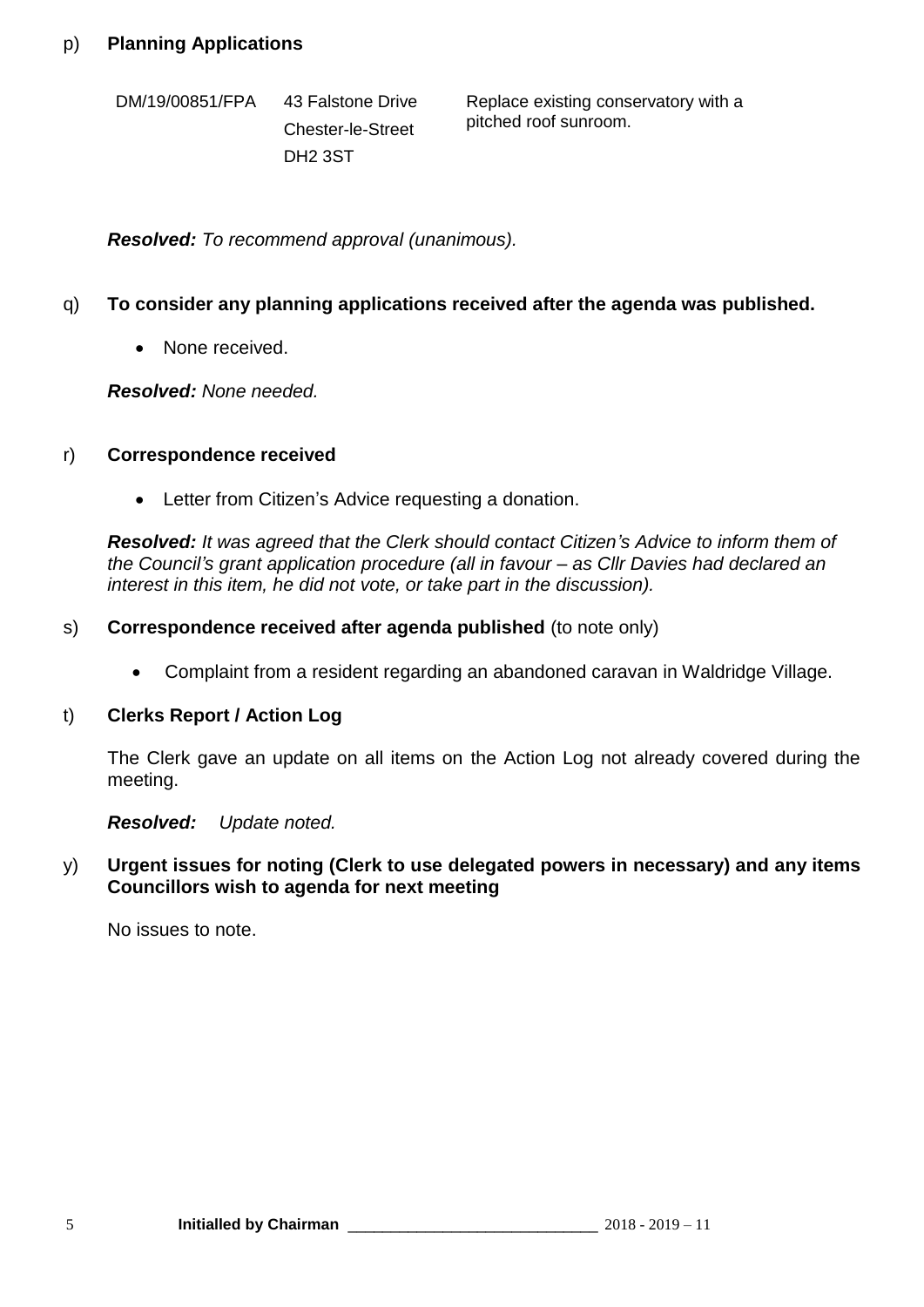DM/19/00851/FPA 43 Falstone Drive Chester-le-Street DH2 3ST

Replace existing conservatory with a pitched roof sunroom.

*Resolved: To recommend approval (unanimous).*

# q) **To consider any planning applications received after the agenda was published.**

• None received.

*Resolved: None needed.*

## r) **Correspondence received**

• Letter from Citizen's Advice requesting a donation.

*Resolved: It was agreed that the Clerk should contact Citizen's Advice to inform them of the Council's grant application procedure (all in favour – as Cllr Davies had declared an interest in this item, he did not vote, or take part in the discussion).*

## s) **Correspondence received after agenda published** (to note only)

• Complaint from a resident regarding an abandoned caravan in Waldridge Village.

#### t) **Clerks Report / Action Log**

The Clerk gave an update on all items on the Action Log not already covered during the meeting.

## *Resolved: Update noted.*

#### y) **Urgent issues for noting (Clerk to use delegated powers in necessary) and any items Councillors wish to agenda for next meeting**

No issues to note.